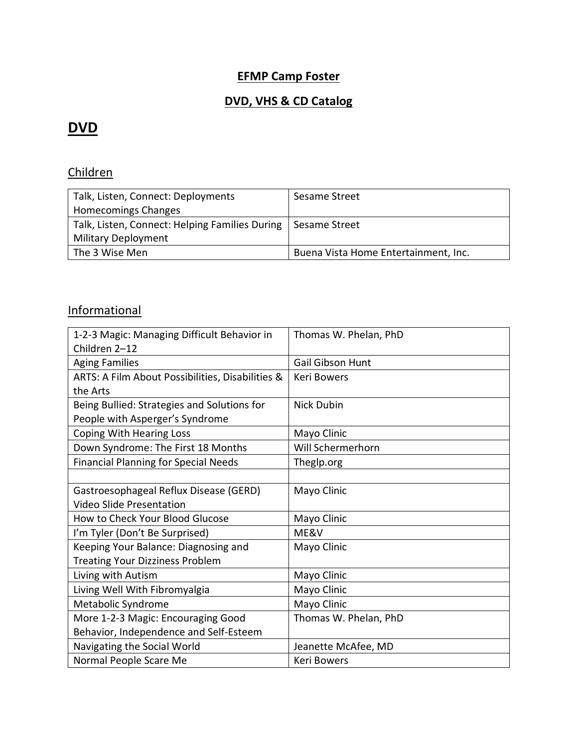#### **EFMP Camp Foster**

### **DVD, VHS & CD Catalog**

### **DVD**

### Children

| Talk, Listen, Connect: Deployments                             | Sesame Street                        |
|----------------------------------------------------------------|--------------------------------------|
| Homecomings Changes                                            |                                      |
| Talk, Listen, Connect: Helping Families During   Sesame Street |                                      |
| <b>Military Deployment</b>                                     |                                      |
| The 3 Wise Men                                                 | Buena Vista Home Entertainment, Inc. |

### **Informational**

| 1-2-3 Magic: Managing Difficult Behavior in      | Thomas W. Phelan, PhD   |
|--------------------------------------------------|-------------------------|
| Children 2-12                                    |                         |
| <b>Aging Families</b>                            | <b>Gail Gibson Hunt</b> |
| ARTS: A Film About Possibilities, Disabilities & | <b>Keri Bowers</b>      |
| the Arts                                         |                         |
| Being Bullied: Strategies and Solutions for      | Nick Dubin              |
| People with Asperger's Syndrome                  |                         |
| Coping With Hearing Loss                         | Mayo Clinic             |
| Down Syndrome: The First 18 Months               | Will Schermerhorn       |
| <b>Financial Planning for Special Needs</b>      | Theglp.org              |
|                                                  |                         |
| Gastroesophageal Reflux Disease (GERD)           | Mayo Clinic             |
| <b>Video Slide Presentation</b>                  |                         |
| How to Check Your Blood Glucose                  | Mayo Clinic             |
| I'm Tyler (Don't Be Surprised)                   | ME&V                    |
| Keeping Your Balance: Diagnosing and             | Mayo Clinic             |
| <b>Treating Your Dizziness Problem</b>           |                         |
| Living with Autism                               | Mayo Clinic             |
| Living Well With Fibromyalgia                    | Mayo Clinic             |
| Metabolic Syndrome                               | Mayo Clinic             |
| More 1-2-3 Magic: Encouraging Good               | Thomas W. Phelan, PhD   |
| Behavior, Independence and Self-Esteem           |                         |
| Navigating the Social World                      | Jeanette McAfee, MD     |
| Normal People Scare Me                           | <b>Keri Bowers</b>      |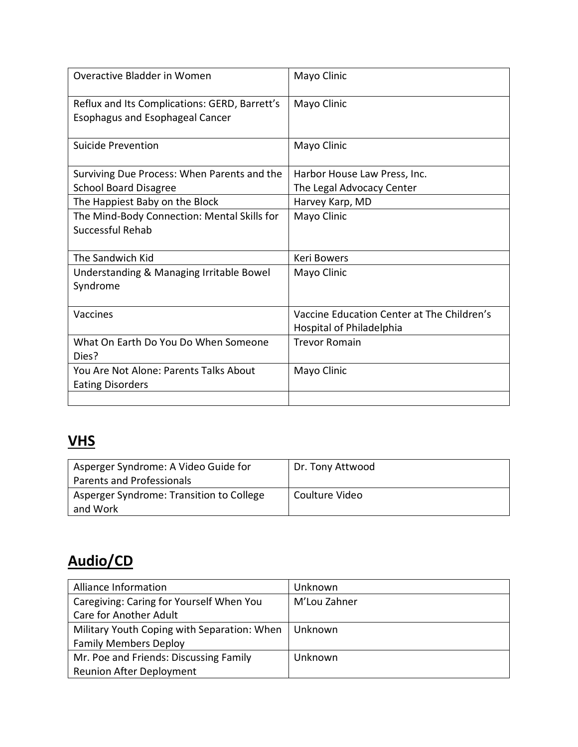| Overactive Bladder in Women                                                             | Mayo Clinic                                                            |
|-----------------------------------------------------------------------------------------|------------------------------------------------------------------------|
| Reflux and Its Complications: GERD, Barrett's<br><b>Esophagus and Esophageal Cancer</b> | Mayo Clinic                                                            |
| Suicide Prevention                                                                      | Mayo Clinic                                                            |
| Surviving Due Process: When Parents and the                                             | Harbor House Law Press, Inc.                                           |
| <b>School Board Disagree</b>                                                            | The Legal Advocacy Center                                              |
| The Happiest Baby on the Block                                                          | Harvey Karp, MD                                                        |
| The Mind-Body Connection: Mental Skills for<br>Successful Rehab                         | Mayo Clinic                                                            |
| The Sandwich Kid                                                                        | <b>Keri Bowers</b>                                                     |
| Understanding & Managing Irritable Bowel<br>Syndrome                                    | Mayo Clinic                                                            |
| Vaccines                                                                                | Vaccine Education Center at The Children's<br>Hospital of Philadelphia |
| What On Earth Do You Do When Someone<br>Dies?                                           | <b>Trevor Romain</b>                                                   |
| You Are Not Alone: Parents Talks About<br><b>Eating Disorders</b>                       | Mayo Clinic                                                            |
|                                                                                         |                                                                        |

# **VHS**

| Asperger Syndrome: A Video Guide for     | Dr. Tony Attwood |
|------------------------------------------|------------------|
| Parents and Professionals                |                  |
| Asperger Syndrome: Transition to College | Coulture Video   |
| and Work                                 |                  |

# **Audio/CD**

| Alliance Information                        | Unknown      |
|---------------------------------------------|--------------|
| Caregiving: Caring for Yourself When You    | M'Lou Zahner |
| Care for Another Adult                      |              |
| Military Youth Coping with Separation: When | I Unknown    |
| <b>Family Members Deploy</b>                |              |
| Mr. Poe and Friends: Discussing Family      | Unknown      |
| <b>Reunion After Deployment</b>             |              |